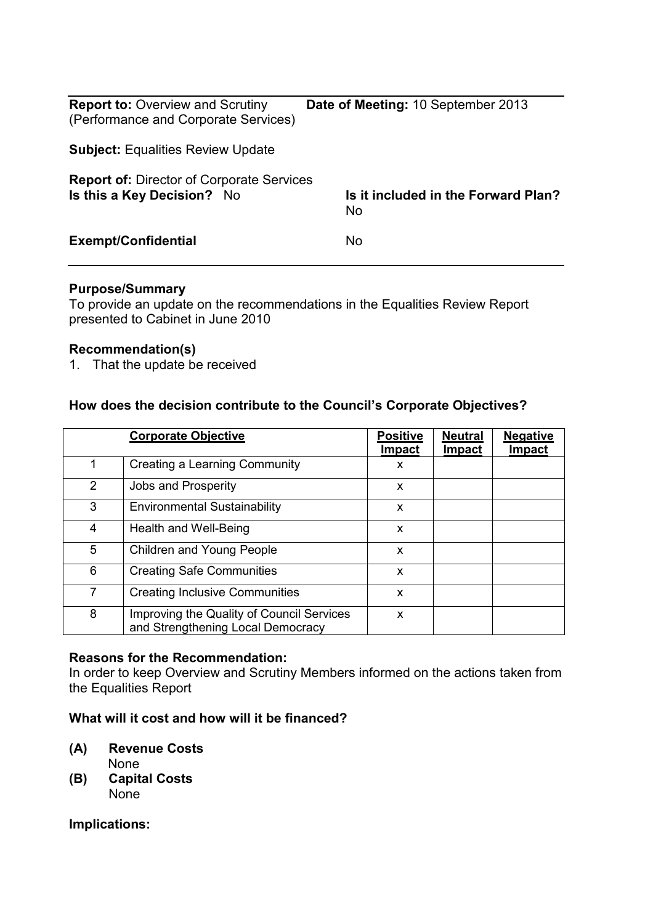| <b>Report to: Overview and Scrutiny</b><br>(Performance and Corporate Services) | Date of Meeting: 10 September 2013               |
|---------------------------------------------------------------------------------|--------------------------------------------------|
| <b>Subject: Equalities Review Update</b>                                        |                                                  |
| <b>Report of: Director of Corporate Services</b><br>Is this a Key Decision? No  | Is it included in the Forward Plan?<br><b>No</b> |
| <b>Exempt/Confidential</b>                                                      | <b>No</b>                                        |

## **Purpose/Summary**

To provide an update on the recommendations in the Equalities Review Report presented to Cabinet in June 2010

#### **Recommendation(s)**

1. That the update be received

## **How does the decision contribute to the Council's Corporate Objectives?**

|   | <b>Corporate Objective</b>                                                     | <b>Positive</b><br><b>Impact</b> | <b>Neutral</b><br><b>Impact</b> | <b>Negative</b><br><b>Impact</b> |
|---|--------------------------------------------------------------------------------|----------------------------------|---------------------------------|----------------------------------|
| 1 | Creating a Learning Community                                                  | X                                |                                 |                                  |
| 2 | Jobs and Prosperity                                                            | X                                |                                 |                                  |
| 3 | <b>Environmental Sustainability</b>                                            | X                                |                                 |                                  |
| 4 | Health and Well-Being                                                          | X                                |                                 |                                  |
| 5 | Children and Young People                                                      | X                                |                                 |                                  |
| 6 | <b>Creating Safe Communities</b>                                               | X                                |                                 |                                  |
| 7 | <b>Creating Inclusive Communities</b>                                          | X                                |                                 |                                  |
| 8 | Improving the Quality of Council Services<br>and Strengthening Local Democracy | X                                |                                 |                                  |

## **Reasons for the Recommendation:**

In order to keep Overview and Scrutiny Members informed on the actions taken from the Equalities Report

## **What will it cost and how will it be financed?**

## **(A) Revenue Costs**

- None
- **(B) Capital Costs**  None

#### **Implications:**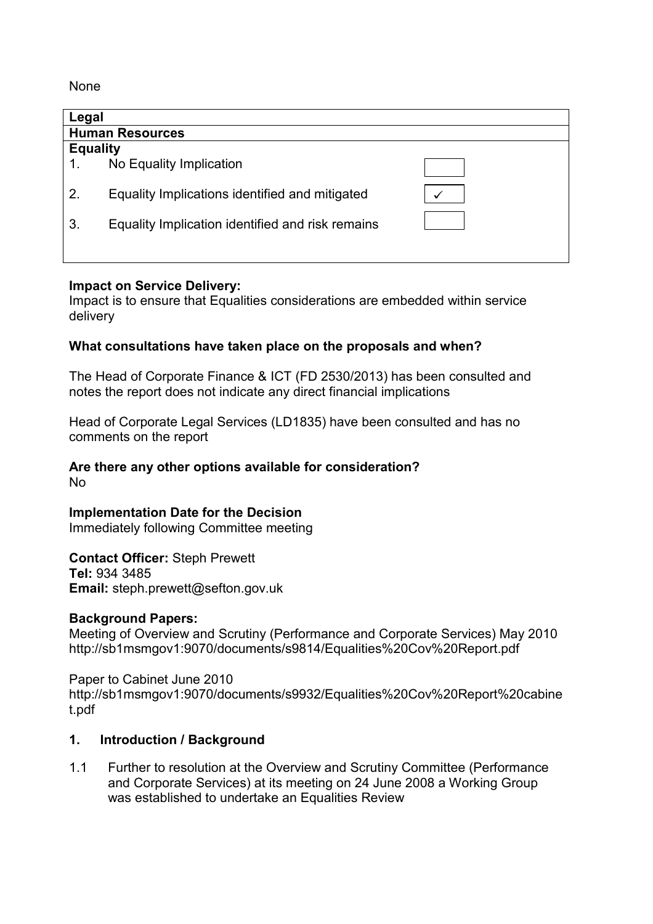None

| Legal                  |                                                  |  |  |  |  |
|------------------------|--------------------------------------------------|--|--|--|--|
| <b>Human Resources</b> |                                                  |  |  |  |  |
| <b>Equality</b>        |                                                  |  |  |  |  |
|                        | No Equality Implication                          |  |  |  |  |
| 2.                     | Equality Implications identified and mitigated   |  |  |  |  |
| 3.                     | Equality Implication identified and risk remains |  |  |  |  |
|                        |                                                  |  |  |  |  |

## **Impact on Service Delivery:**

Impact is to ensure that Equalities considerations are embedded within service delivery

## **What consultations have taken place on the proposals and when?**

The Head of Corporate Finance & ICT (FD 2530/2013) has been consulted and notes the report does not indicate any direct financial implications

Head of Corporate Legal Services (LD1835) have been consulted and has no comments on the report

# **Are there any other options available for consideration?**

No

# **Implementation Date for the Decision**

Immediately following Committee meeting

**Contact Officer:** Steph Prewett **Tel:** 934 3485 **Email:** steph.prewett@sefton.gov.uk

## **Background Papers:**

Meeting of Overview and Scrutiny (Performance and Corporate Services) May 2010 http://sb1msmgov1:9070/documents/s9814/Equalities%20Cov%20Report.pdf

Paper to Cabinet June 2010 http://sb1msmgov1:9070/documents/s9932/Equalities%20Cov%20Report%20cabine t.pdf

## **1. Introduction / Background**

1.1 Further to resolution at the Overview and Scrutiny Committee (Performance and Corporate Services) at its meeting on 24 June 2008 a Working Group was established to undertake an Equalities Review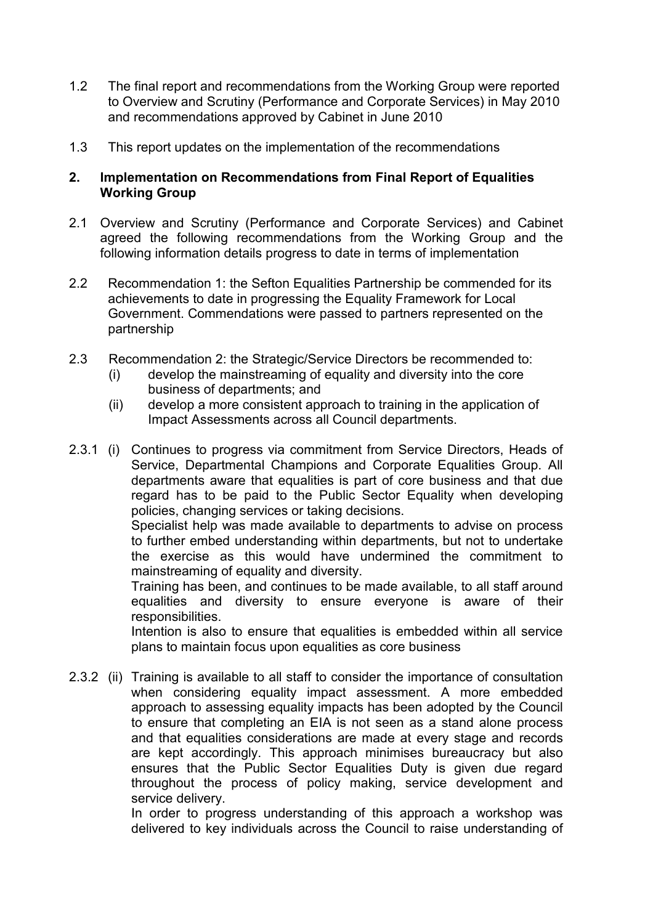- 1.2 The final report and recommendations from the Working Group were reported to Overview and Scrutiny (Performance and Corporate Services) in May 2010 and recommendations approved by Cabinet in June 2010
- 1.3 This report updates on the implementation of the recommendations

## **2. Implementation on Recommendations from Final Report of Equalities Working Group**

- 2.1 Overview and Scrutiny (Performance and Corporate Services) and Cabinet agreed the following recommendations from the Working Group and the following information details progress to date in terms of implementation
- 2.2 Recommendation 1: the Sefton Equalities Partnership be commended for its achievements to date in progressing the Equality Framework for Local Government. Commendations were passed to partners represented on the partnership
- 2.3 Recommendation 2: the Strategic/Service Directors be recommended to:
	- (i) develop the mainstreaming of equality and diversity into the core business of departments; and
	- (ii) develop a more consistent approach to training in the application of Impact Assessments across all Council departments.
- 2.3.1 (i) Continues to progress via commitment from Service Directors, Heads of Service, Departmental Champions and Corporate Equalities Group. All departments aware that equalities is part of core business and that due regard has to be paid to the Public Sector Equality when developing policies, changing services or taking decisions.

 Specialist help was made available to departments to advise on process to further embed understanding within departments, but not to undertake the exercise as this would have undermined the commitment to mainstreaming of equality and diversity.

 Training has been, and continues to be made available, to all staff around equalities and diversity to ensure everyone is aware of their responsibilities.

 Intention is also to ensure that equalities is embedded within all service plans to maintain focus upon equalities as core business

2.3.2 (ii) Training is available to all staff to consider the importance of consultation when considering equality impact assessment. A more embedded approach to assessing equality impacts has been adopted by the Council to ensure that completing an EIA is not seen as a stand alone process and that equalities considerations are made at every stage and records are kept accordingly. This approach minimises bureaucracy but also ensures that the Public Sector Equalities Duty is given due regard throughout the process of policy making, service development and service delivery.

> In order to progress understanding of this approach a workshop was delivered to key individuals across the Council to raise understanding of